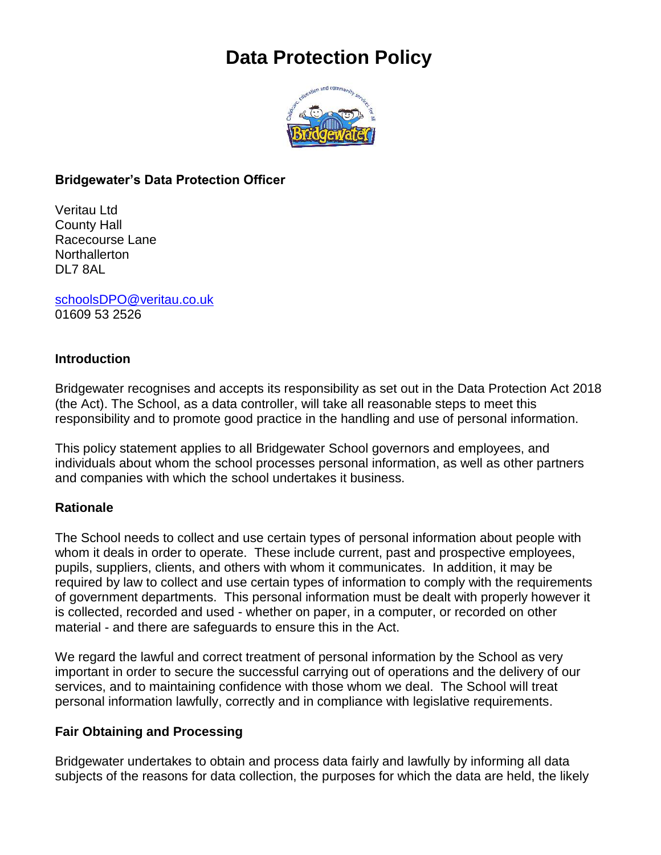# **Data Protection Policy**



#### **Bridgewater's Data Protection Officer**

Veritau Ltd County Hall Racecourse Lane **Northallerton** DL7 8AL

[schoolsDPO@veritau.co.uk](mailto:schoolsDPO@veritau.co.uk) 01609 53 2526

#### **Introduction**

Bridgewater recognises and accepts its responsibility as set out in the Data Protection Act 2018 (the Act). The School, as a data controller, will take all reasonable steps to meet this responsibility and to promote good practice in the handling and use of personal information.

This policy statement applies to all Bridgewater School governors and employees, and individuals about whom the school processes personal information, as well as other partners and companies with which the school undertakes it business.

#### **Rationale**

The School needs to collect and use certain types of personal information about people with whom it deals in order to operate. These include current, past and prospective employees, pupils, suppliers, clients, and others with whom it communicates. In addition, it may be required by law to collect and use certain types of information to comply with the requirements of government departments. This personal information must be dealt with properly however it is collected, recorded and used - whether on paper, in a computer, or recorded on other material - and there are safeguards to ensure this in the Act.

We regard the lawful and correct treatment of personal information by the School as very important in order to secure the successful carrying out of operations and the delivery of our services, and to maintaining confidence with those whom we deal. The School will treat personal information lawfully, correctly and in compliance with legislative requirements.

#### **Fair Obtaining and Processing**

Bridgewater undertakes to obtain and process data fairly and lawfully by informing all data subjects of the reasons for data collection, the purposes for which the data are held, the likely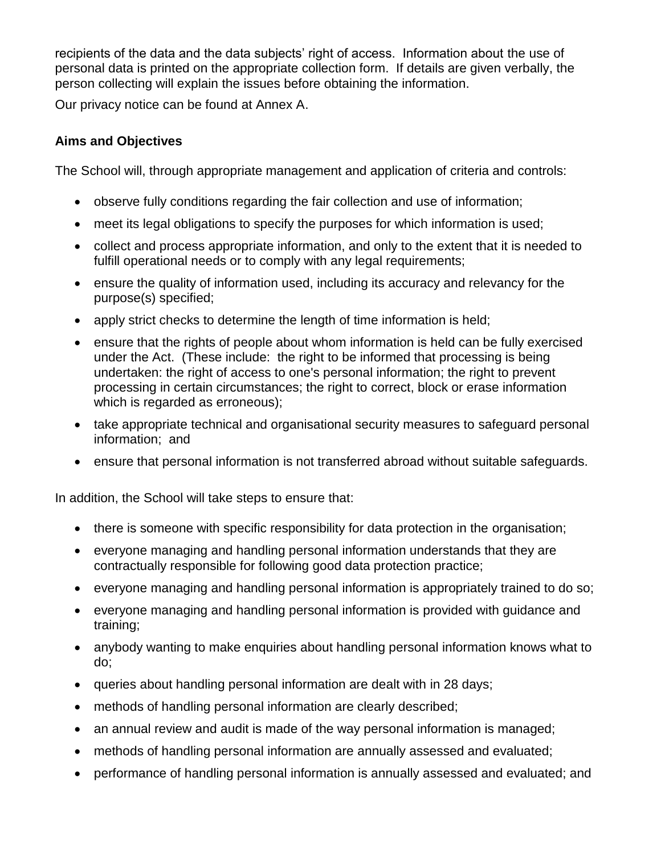recipients of the data and the data subjects' right of access. Information about the use of personal data is printed on the appropriate collection form. If details are given verbally, the person collecting will explain the issues before obtaining the information.

Our privacy notice can be found at Annex A.

## **Aims and Objectives**

The School will, through appropriate management and application of criteria and controls:

- observe fully conditions regarding the fair collection and use of information;
- meet its legal obligations to specify the purposes for which information is used;
- collect and process appropriate information, and only to the extent that it is needed to fulfill operational needs or to comply with any legal requirements;
- ensure the quality of information used, including its accuracy and relevancy for the purpose(s) specified;
- apply strict checks to determine the length of time information is held;
- ensure that the rights of people about whom information is held can be fully exercised under the Act. (These include: the right to be informed that processing is being undertaken: the right of access to one's personal information; the right to prevent processing in certain circumstances; the right to correct, block or erase information which is regarded as erroneous);
- take appropriate technical and organisational security measures to safeguard personal information; and
- ensure that personal information is not transferred abroad without suitable safeguards.

In addition, the School will take steps to ensure that:

- there is someone with specific responsibility for data protection in the organisation;
- everyone managing and handling personal information understands that they are contractually responsible for following good data protection practice;
- everyone managing and handling personal information is appropriately trained to do so;
- everyone managing and handling personal information is provided with guidance and training;
- anybody wanting to make enquiries about handling personal information knows what to do;
- queries about handling personal information are dealt with in 28 days;
- methods of handling personal information are clearly described;
- an annual review and audit is made of the way personal information is managed;
- methods of handling personal information are annually assessed and evaluated;
- performance of handling personal information is annually assessed and evaluated; and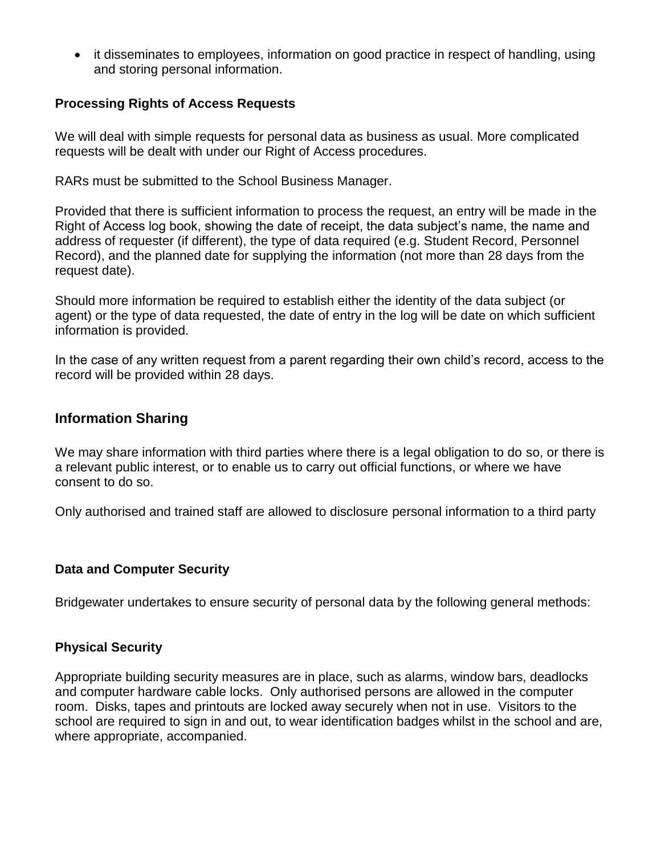• it disseminates to employees, information on good practice in respect of handling, using and storing personal information.

#### **Processing Rights of Access Requests**

We will deal with simple requests for personal data as business as usual. More complicated requests will be dealt with under our Right of Access procedures.

RARs must be submitted to the School Business Manager.

Provided that there is sufficient information to process the request, an entry will be made in the Right of Access log book, showing the date of receipt, the data subject's name, the name and address of requester (if different), the type of data required (e.g. Student Record, Personnel Record), and the planned date for supplying the information (not more than 28 days from the request date).

Should more information be required to establish either the identity of the data subject (or agent) or the type of data requested, the date of entry in the log will be date on which sufficient information is provided.

In the case of any written request from a parent regarding their own child's record, access to the record will be provided within 28 days.

#### **Information Sharing**

We may share information with third parties where there is a legal obligation to do so, or there is a relevant public interest, or to enable us to carry out official functions, or where we have consent to do so.

Only authorised and trained staff are allowed to disclosure personal information to a third party

#### **Data and Computer Security**

Bridgewater undertakes to ensure security of personal data by the following general methods:

#### **Physical Security**

Appropriate building security measures are in place, such as alarms, window bars, deadlocks and computer hardware cable locks. Only authorised persons are allowed in the computer room. Disks, tapes and printouts are locked away securely when not in use. Visitors to the school are required to sign in and out, to wear identification badges whilst in the school and are, where appropriate, accompanied.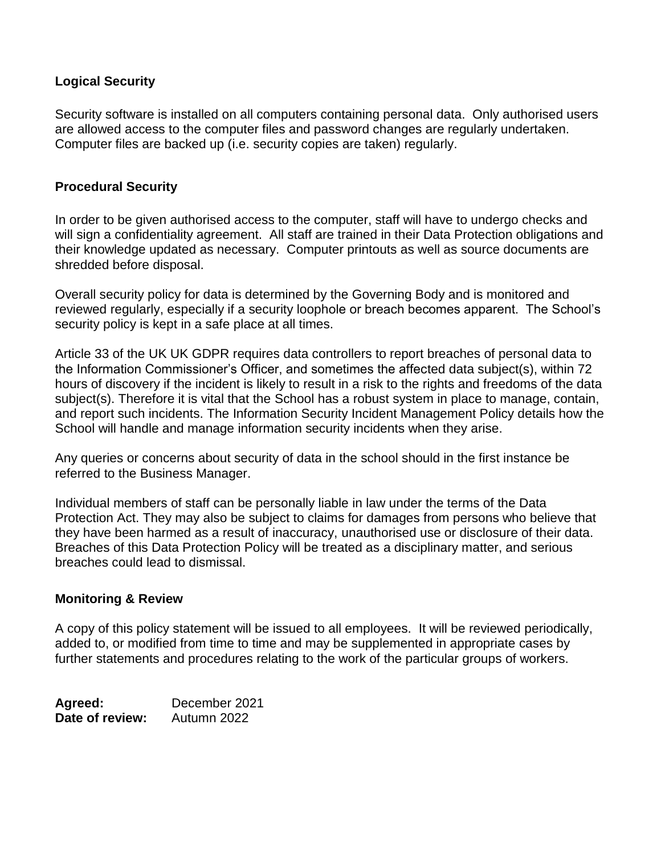#### **Logical Security**

Security software is installed on all computers containing personal data. Only authorised users are allowed access to the computer files and password changes are regularly undertaken. Computer files are backed up (i.e. security copies are taken) regularly.

#### **Procedural Security**

In order to be given authorised access to the computer, staff will have to undergo checks and will sign a confidentiality agreement. All staff are trained in their Data Protection obligations and their knowledge updated as necessary. Computer printouts as well as source documents are shredded before disposal.

Overall security policy for data is determined by the Governing Body and is monitored and reviewed regularly, especially if a security loophole or breach becomes apparent. The School's security policy is kept in a safe place at all times.

Article 33 of the UK UK GDPR requires data controllers to report breaches of personal data to the Information Commissioner's Officer, and sometimes the affected data subject(s), within 72 hours of discovery if the incident is likely to result in a risk to the rights and freedoms of the data subiect(s). Therefore it is vital that the School has a robust system in place to manage, contain, and report such incidents. The Information Security Incident Management Policy details how the School will handle and manage information security incidents when they arise.

Any queries or concerns about security of data in the school should in the first instance be referred to the Business Manager.

Individual members of staff can be personally liable in law under the terms of the Data Protection Act. They may also be subject to claims for damages from persons who believe that they have been harmed as a result of inaccuracy, unauthorised use or disclosure of their data. Breaches of this Data Protection Policy will be treated as a disciplinary matter, and serious breaches could lead to dismissal.

#### **Monitoring & Review**

A copy of this policy statement will be issued to all employees. It will be reviewed periodically, added to, or modified from time to time and may be supplemented in appropriate cases by further statements and procedures relating to the work of the particular groups of workers.

| Agreed:         | December 2021 |
|-----------------|---------------|
| Date of review: | Autumn 2022   |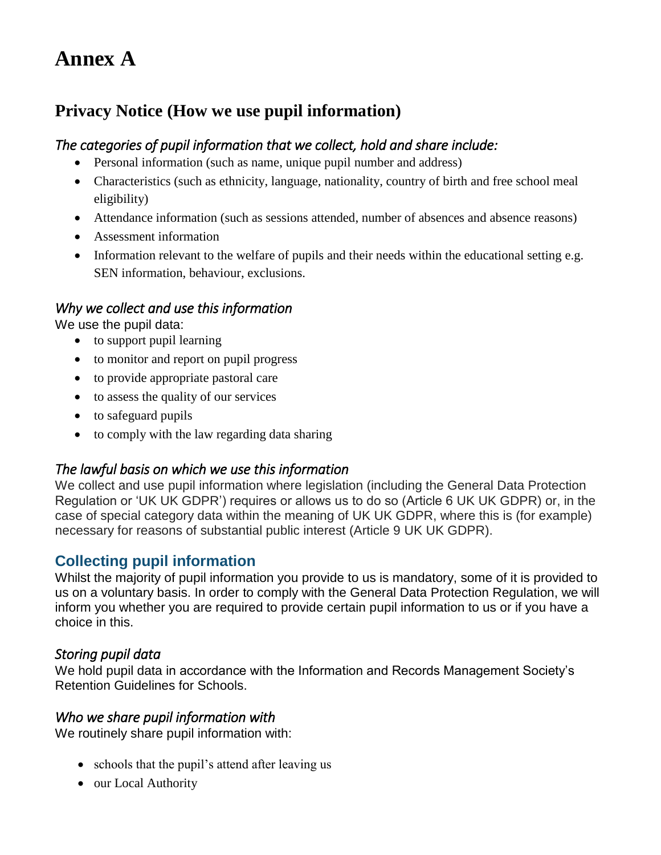# **Annex A**

# **Privacy Notice (How we use pupil information)**

## *The categories of pupil information that we collect, hold and share include:*

- Personal information (such as name, unique pupil number and address)
- Characteristics (such as ethnicity, language, nationality, country of birth and free school meal eligibility)
- Attendance information (such as sessions attended, number of absences and absence reasons)
- Assessment information
- Information relevant to the welfare of pupils and their needs within the educational setting e.g. SEN information, behaviour, exclusions.

## *Why we collect and use this information*

We use the pupil data:

- to support pupil learning
- to monitor and report on pupil progress
- to provide appropriate pastoral care
- to assess the quality of our services
- to safeguard pupils
- to comply with the law regarding data sharing

## *The lawful basis on which we use this information*

We collect and use pupil information where legislation (including the General Data Protection Regulation or 'UK UK GDPR') requires or allows us to do so (Article 6 UK UK GDPR) or, in the case of special category data within the meaning of UK UK GDPR, where this is (for example) necessary for reasons of substantial public interest (Article 9 UK UK GDPR).

## **Collecting pupil information**

Whilst the majority of pupil information you provide to us is mandatory, some of it is provided to us on a voluntary basis. In order to comply with the General Data Protection Regulation, we will inform you whether you are required to provide certain pupil information to us or if you have a choice in this.

## *Storing pupil data*

We hold pupil data in accordance with the Information and Records Management Society's Retention Guidelines for Schools.

## *Who we share pupil information with*

We routinely share pupil information with:

- schools that the pupil's attend after leaving us
- our Local Authority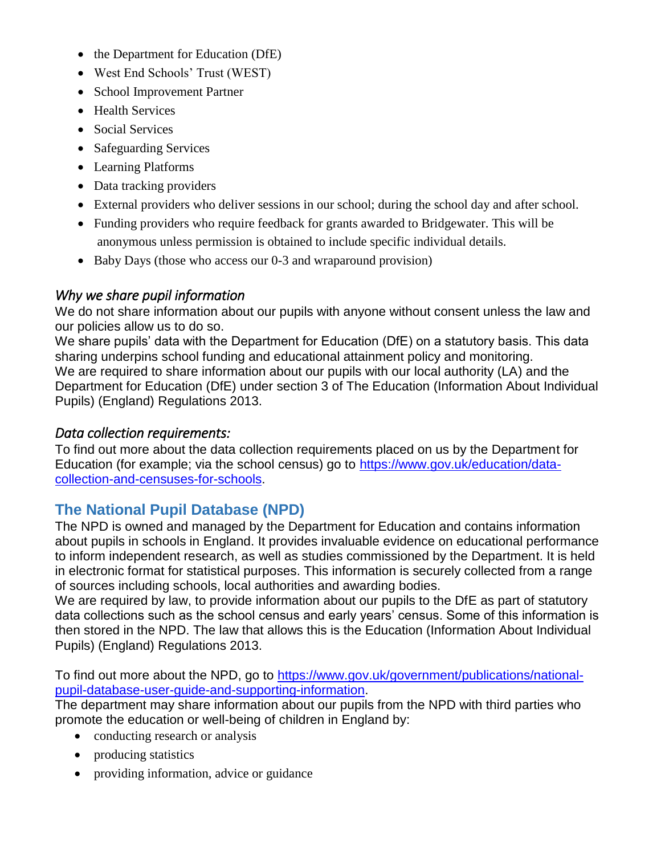- the Department for Education (DfE)
- West End Schools' Trust (WEST)
- School Improvement Partner
- Health Services
- Social Services
- Safeguarding Services
- Learning Platforms
- Data tracking providers
- External providers who deliver sessions in our school; during the school day and after school.
- Funding providers who require feedback for grants awarded to Bridgewater. This will be anonymous unless permission is obtained to include specific individual details.
- Baby Days (those who access our 0-3 and wraparound provision)

## *Why we share pupil information*

We do not share information about our pupils with anyone without consent unless the law and our policies allow us to do so.

We share pupils' data with the Department for Education (DfE) on a statutory basis. This data sharing underpins school funding and educational attainment policy and monitoring. We are required to share information about our pupils with our local authority (LA) and the Department for Education (DfE) under section 3 of The Education (Information About Individual Pupils) (England) Regulations 2013.

## *Data collection requirements:*

To find out more about the data collection requirements placed on us by the Department for Education (for example; via the school census) go to [https://www.gov.uk/education/data](https://www.gov.uk/education/data-collection-and-censuses-for-schools)[collection-and-censuses-for-schools.](https://www.gov.uk/education/data-collection-and-censuses-for-schools)

## **The National Pupil Database (NPD)**

The NPD is owned and managed by the Department for Education and contains information about pupils in schools in England. It provides invaluable evidence on educational performance to inform independent research, as well as studies commissioned by the Department. It is held in electronic format for statistical purposes. This information is securely collected from a range of sources including schools, local authorities and awarding bodies.

We are required by law, to provide information about our pupils to the DfE as part of statutory data collections such as the school census and early years' census. Some of this information is then stored in the NPD. The law that allows this is the Education (Information About Individual Pupils) (England) Regulations 2013.

To find out more about the NPD, go to [https://www.gov.uk/government/publications/national](https://www.gov.uk/government/publications/national-pupil-database-user-guide-and-supporting-information)[pupil-database-user-guide-and-supporting-information.](https://www.gov.uk/government/publications/national-pupil-database-user-guide-and-supporting-information)

The department may share information about our pupils from the NPD with third parties who promote the education or well-being of children in England by:

- conducting research or analysis
- producing statistics
- providing information, advice or guidance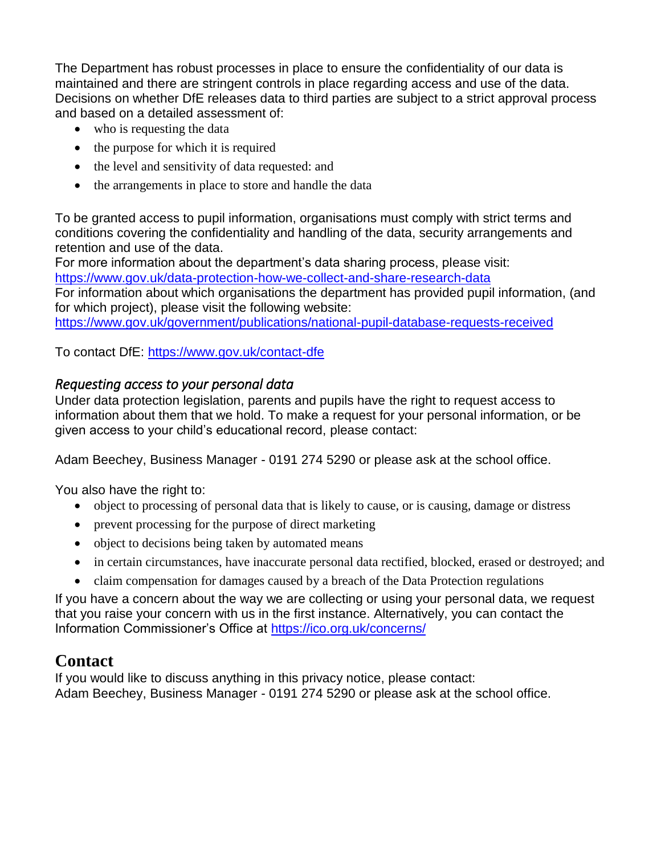The Department has robust processes in place to ensure the confidentiality of our data is maintained and there are stringent controls in place regarding access and use of the data. Decisions on whether DfE releases data to third parties are subject to a strict approval process and based on a detailed assessment of:

- who is requesting the data
- the purpose for which it is required
- the level and sensitivity of data requested: and
- the arrangements in place to store and handle the data

To be granted access to pupil information, organisations must comply with strict terms and conditions covering the confidentiality and handling of the data, security arrangements and retention and use of the data.

For more information about the department's data sharing process, please visit:

<https://www.gov.uk/data-protection-how-we-collect-and-share-research-data> For information about which organisations the department has provided pupil information, (and

for which project), please visit the following website:

<https://www.gov.uk/government/publications/national-pupil-database-requests-received>

To contact DfE:<https://www.gov.uk/contact-dfe>

## *Requesting access to your personal data*

Under data protection legislation, parents and pupils have the right to request access to information about them that we hold. To make a request for your personal information, or be given access to your child's educational record, please contact:

Adam Beechey, Business Manager - 0191 274 5290 or please ask at the school office.

You also have the right to:

- object to processing of personal data that is likely to cause, or is causing, damage or distress
- prevent processing for the purpose of direct marketing
- object to decisions being taken by automated means
- in certain circumstances, have inaccurate personal data rectified, blocked, erased or destroyed; and
- claim compensation for damages caused by a breach of the Data Protection regulations

If you have a concern about the way we are collecting or using your personal data, we request that you raise your concern with us in the first instance. Alternatively, you can contact the Information Commissioner's Office at<https://ico.org.uk/concerns/>

## **Contact**

If you would like to discuss anything in this privacy notice, please contact: Adam Beechey, Business Manager - 0191 274 5290 or please ask at the school office.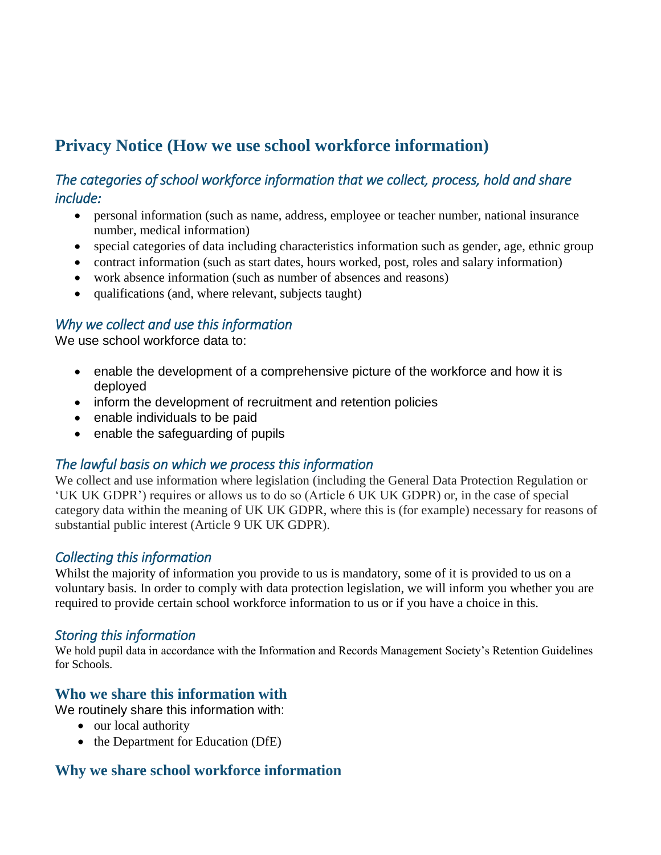# **Privacy Notice (How we use school workforce information)**

## *The categories of school workforce information that we collect, process, hold and share include:*

- personal information (such as name, address, employee or teacher number, national insurance number, medical information)
- special categories of data including characteristics information such as gender, age, ethnic group
- contract information (such as start dates, hours worked, post, roles and salary information)
- work absence information (such as number of absences and reasons)
- qualifications (and, where relevant, subjects taught)

## *Why we collect and use this information*

We use school workforce data to:

- enable the development of a comprehensive picture of the workforce and how it is deployed
- inform the development of recruitment and retention policies
- enable individuals to be paid
- enable the safeguarding of pupils

## *The lawful basis on which we process this information*

We collect and use information where legislation (including the General Data Protection Regulation or 'UK UK GDPR') requires or allows us to do so (Article 6 UK UK GDPR) or, in the case of special category data within the meaning of UK UK GDPR, where this is (for example) necessary for reasons of substantial public interest (Article 9 UK UK GDPR).

## *Collecting this information*

Whilst the majority of information you provide to us is mandatory, some of it is provided to us on a voluntary basis. In order to comply with data protection legislation, we will inform you whether you are required to provide certain school workforce information to us or if you have a choice in this.

## *Storing this information*

We hold pupil data in accordance with the Information and Records Management Society's Retention Guidelines for Schools.

## **Who we share this information with**

We routinely share this information with:

- our local authority
- the Department for Education (DfE)

## **Why we share school workforce information**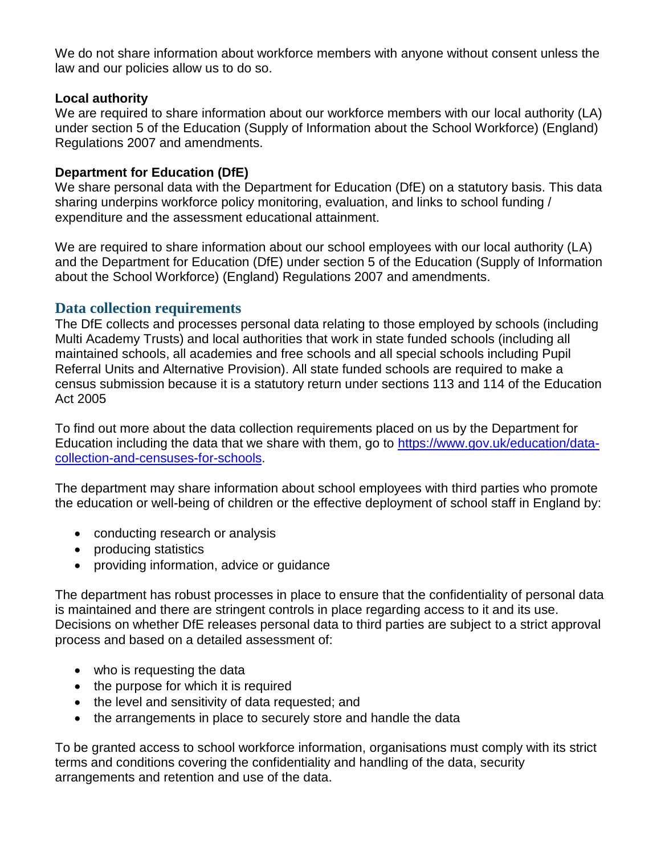We do not share information about workforce members with anyone without consent unless the law and our policies allow us to do so.

#### **Local authority**

We are required to share information about our workforce members with our local authority (LA) under section 5 of the Education (Supply of Information about the School Workforce) (England) Regulations 2007 and amendments.

#### **Department for Education (DfE)**

We share personal data with the Department for Education (DfE) on a statutory basis. This data sharing underpins workforce policy monitoring, evaluation, and links to school funding / expenditure and the assessment educational attainment.

We are required to share information about our school employees with our local authority (LA) and the Department for Education (DfE) under section 5 of the Education (Supply of Information about the School Workforce) (England) Regulations 2007 and amendments.

#### **Data collection requirements**

The DfE collects and processes personal data relating to those employed by schools (including Multi Academy Trusts) and local authorities that work in state funded schools (including all maintained schools, all academies and free schools and all special schools including Pupil Referral Units and Alternative Provision). All state funded schools are required to make a census submission because it is a statutory return under sections 113 and 114 of the Education Act 2005

To find out more about the data collection requirements placed on us by the Department for Education including the data that we share with them, go to [https://www.gov.uk/education/data](https://www.gov.uk/education/data-collection-and-censuses-for-schools)[collection-and-censuses-for-schools.](https://www.gov.uk/education/data-collection-and-censuses-for-schools)

The department may share information about school employees with third parties who promote the education or well-being of children or the effective deployment of school staff in England by:

- conducting research or analysis
- producing statistics
- providing information, advice or guidance

The department has robust processes in place to ensure that the confidentiality of personal data is maintained and there are stringent controls in place regarding access to it and its use. Decisions on whether DfE releases personal data to third parties are subject to a strict approval process and based on a detailed assessment of:

- who is requesting the data
- the purpose for which it is required
- the level and sensitivity of data requested; and
- the arrangements in place to securely store and handle the data

To be granted access to school workforce information, organisations must comply with its strict terms and conditions covering the confidentiality and handling of the data, security arrangements and retention and use of the data.